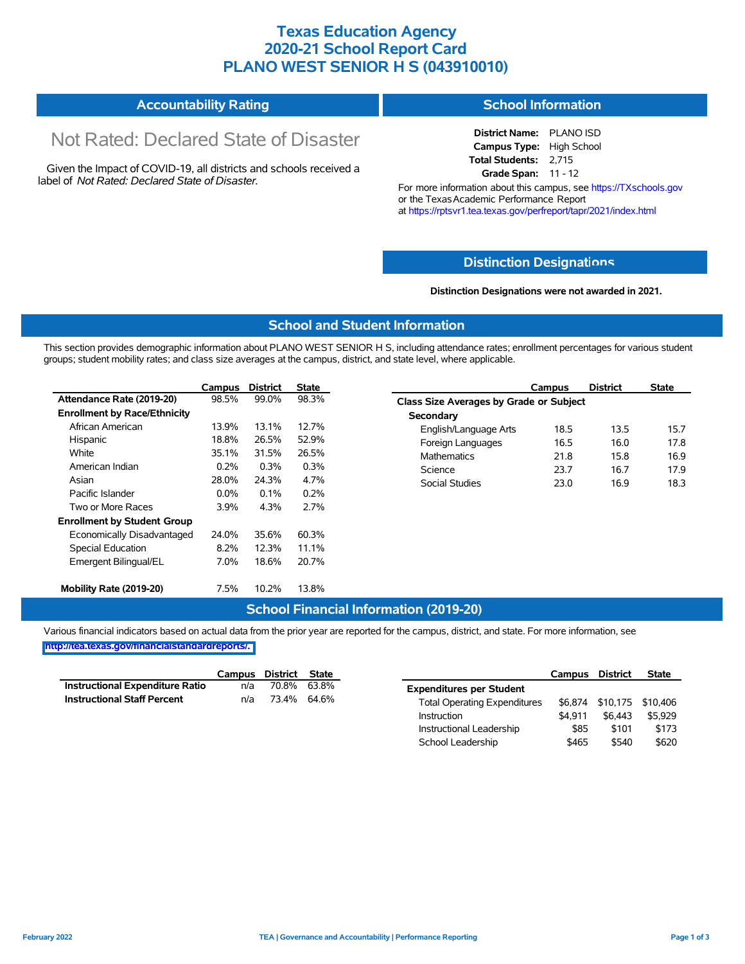## **Texas Education Agency 2020-21 School Report Card PLANO WEST SENIOR H S (043910010)**

#### **Accountability Rating School Information**

# Not Rated: Declared State of Disaster

Given the Impact of COVID-19, all districts and schools received a label of *Not Rated: Declared State of Disaster.*

**District Name:** PLANO ISD **Campus Type:** High School **Total Students:** 2,715 **Grade Span:** 11 - 12

For more information about this campus, see https://TXschools.gov or the Texas Academic Performance Report at https://rptsvr1.tea.texas.gov/perfreport/tapr/2021/index.html

#### **Distinction Designat[ions](https://TXschools.gov)**

**Distinction Designations were not awarded in 2021.**

School Leadership  $$465$  \$540 \$620

#### **School and Student Information**

This section provides demographic information about PLANO WEST SENIOR H S, including attendance rates; enrollment percentages for various student groups; student mobility rates; and class size averages at the campus, district, and state level, where applicable.

|                                     | Campus  | <b>District</b> | <b>State</b> | <b>District</b><br><b>State</b><br>Campus |      |
|-------------------------------------|---------|-----------------|--------------|-------------------------------------------|------|
| Attendance Rate (2019-20)           | 98.5%   | 99.0%           | 98.3%        | Class Size Averages by Grade or Subject   |      |
| <b>Enrollment by Race/Ethnicity</b> |         |                 |              | Secondary                                 |      |
| African American                    | 13.9%   | 13.1%           | 12.7%        | 18.5<br>13.5<br>English/Language Arts     | 15.7 |
| Hispanic                            | 18.8%   | 26.5%           | 52.9%        | Foreign Languages<br>16.5<br>16.0         | 17.8 |
| White                               | 35.1%   | 31.5%           | 26.5%        | 15.8<br>21.8<br><b>Mathematics</b>        | 16.9 |
| American Indian                     | 0.2%    | 0.3%            | 0.3%         | Science<br>16.7<br>23.7                   | 17.9 |
| Asian                               | 28.0%   | 24.3%           | 4.7%         | <b>Social Studies</b><br>16.9<br>23.0     | 18.3 |
| Pacific Islander                    | $0.0\%$ | 0.1%            | 0.2%         |                                           |      |
| Two or More Races                   | 3.9%    | 4.3%            | 2.7%         |                                           |      |
| <b>Enrollment by Student Group</b>  |         |                 |              |                                           |      |
| Economically Disadvantaged          | 24.0%   | 35.6%           | 60.3%        |                                           |      |
| Special Education                   | 8.2%    | 12.3%           | 11.1%        |                                           |      |
| Emergent Bilingual/EL               | 7.0%    | 18.6%           | 20.7%        |                                           |      |
| Mobility Rate (2019-20)             | 7.5%    | 10.2%           | 13.8%        |                                           |      |

#### **School Financial Information (2019-20)**

Various financial indicators based on actual data from the prior year are reported for the campus, district, and state. For more information, see

**[http://tea.texas.gov/financialstandardreports/.](http://tea.texas.gov/financialstandardreports/)**

|                                        | Campus | District | State       |                                     | Campus  | <b>District</b>           | <b>State</b> |
|----------------------------------------|--------|----------|-------------|-------------------------------------|---------|---------------------------|--------------|
| <b>Instructional Expenditure Ratio</b> | n/a    | 70.8%    | 63.8%       | <b>Expenditures per Student</b>     |         |                           |              |
| <b>Instructional Staff Percent</b>     | n/a    |          | 73.4% 64.6% | <b>Total Operating Expenditures</b> |         | \$6,874 \$10,175 \$10,406 |              |
|                                        |        |          |             | Instruction                         | \$4.911 | \$6.443                   | \$5.929      |
|                                        |        |          |             | Instructional Leadership            | \$85    | \$101                     | \$173        |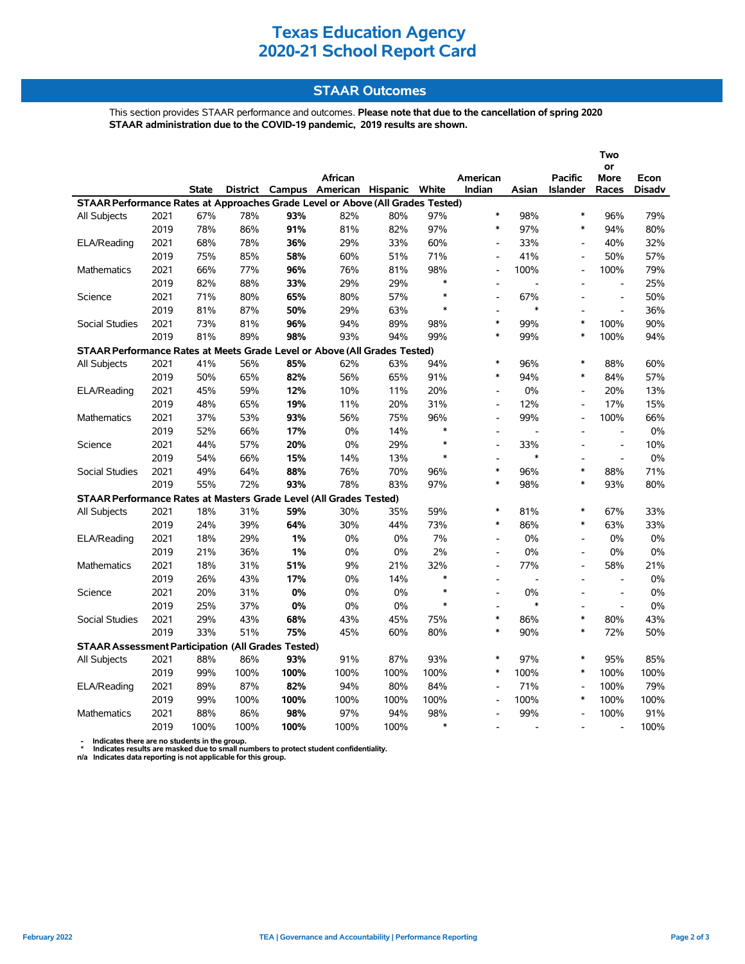# **Texas Education Agency 2020-21 School Report Card**

#### **STAAR Outcomes**

This section provides STAAR performance and outcomes. **Please note that due to the cancellation of spring 2020 STAAR administration due to the COVID-19 pandemic, 2019 results are shown.**

|                                                                                |      |              |      |      |                                         |       |        |                          |                          |                              | Two                      |               |
|--------------------------------------------------------------------------------|------|--------------|------|------|-----------------------------------------|-------|--------|--------------------------|--------------------------|------------------------------|--------------------------|---------------|
|                                                                                |      |              |      |      | African                                 |       |        | American                 |                          | <b>Pacific</b>               | or<br>More               | Econ          |
|                                                                                |      | <b>State</b> |      |      | District Campus American Hispanic White |       |        | Indian                   | Asian                    | <b>Islander</b>              | Races                    | <b>Disadv</b> |
| STAAR Performance Rates at Approaches Grade Level or Above (All Grades Tested) |      |              |      |      |                                         |       |        |                          |                          |                              |                          |               |
| All Subjects                                                                   | 2021 | 67%          | 78%  | 93%  | 82%                                     | 80%   | 97%    | $\ast$                   | 98%                      | $\ast$                       | 96%                      | 79%           |
|                                                                                | 2019 | 78%          | 86%  | 91%  | 81%                                     | 82%   | 97%    | $\ast$                   | 97%                      | $\ast$                       | 94%                      | 80%           |
| ELA/Reading                                                                    | 2021 | 68%          | 78%  | 36%  | 29%                                     | 33%   | 60%    | $\overline{\phantom{a}}$ | 33%                      | $\qquad \qquad \blacksquare$ | 40%                      | 32%           |
|                                                                                | 2019 | 75%          | 85%  | 58%  | 60%                                     | 51%   | 71%    |                          | 41%                      | $\overline{a}$               | 50%                      | 57%           |
| Mathematics                                                                    | 2021 | 66%          | 77%  | 96%  | 76%                                     | 81%   | 98%    | L,                       | 100%                     | L,                           | 100%                     | 79%           |
|                                                                                | 2019 | 82%          | 88%  | 33%  | 29%                                     | 29%   | $\ast$ | $\overline{a}$           | $\overline{\phantom{a}}$ | $\overline{a}$               | $\blacksquare$           | 25%           |
| Science                                                                        | 2021 | 71%          | 80%  | 65%  | 80%                                     | 57%   | $\ast$ | $\overline{a}$           | 67%                      |                              | $\overline{\phantom{a}}$ | 50%           |
|                                                                                | 2019 | 81%          | 87%  | 50%  | 29%                                     | 63%   | $\ast$ |                          | $\ast$                   |                              | $\overline{a}$           | 36%           |
| <b>Social Studies</b>                                                          | 2021 | 73%          | 81%  | 96%  | 94%                                     | 89%   | 98%    | $\ast$                   | 99%                      | $\ast$                       | 100%                     | 90%           |
|                                                                                | 2019 | 81%          | 89%  | 98%  | 93%                                     | 94%   | 99%    | $\ast$                   | 99%                      | $\ast$                       | 100%                     | 94%           |
| STAAR Performance Rates at Meets Grade Level or Above (All Grades Tested)      |      |              |      |      |                                         |       |        |                          |                          |                              |                          |               |
| All Subjects                                                                   | 2021 | 41%          | 56%  | 85%  | 62%                                     | 63%   | 94%    | $\ast$                   | 96%                      | $\ast$                       | 88%                      | 60%           |
|                                                                                | 2019 | 50%          | 65%  | 82%  | 56%                                     | 65%   | 91%    | $\ast$                   | 94%                      | $\ast$                       | 84%                      | 57%           |
| ELA/Reading                                                                    | 2021 | 45%          | 59%  | 12%  | 10%                                     | 11%   | 20%    | $\overline{a}$           | 0%                       | $\overline{a}$               | 20%                      | 13%           |
|                                                                                | 2019 | 48%          | 65%  | 19%  | 11%                                     | 20%   | 31%    |                          | 12%                      | $\overline{a}$               | 17%                      | 15%           |
| <b>Mathematics</b>                                                             | 2021 | 37%          | 53%  | 93%  | 56%                                     | 75%   | 96%    |                          | 99%                      | $\overline{a}$               | 100%                     | 66%           |
|                                                                                | 2019 | 52%          | 66%  | 17%  | 0%                                      | 14%   | $\ast$ | $\overline{\phantom{a}}$ | L,                       | $\overline{a}$               | $\frac{1}{2}$            | 0%            |
| Science                                                                        | 2021 | 44%          | 57%  | 20%  | 0%                                      | 29%   | $\ast$ | $\overline{\phantom{a}}$ | 33%                      |                              | $\frac{1}{2}$            | 10%           |
|                                                                                | 2019 | 54%          | 66%  | 15%  | 14%                                     | 13%   | $\ast$ | ÷.                       | $\ast$                   | $\overline{a}$               | $\bar{\phantom{a}}$      | 0%            |
| <b>Social Studies</b>                                                          | 2021 | 49%          | 64%  | 88%  | 76%                                     | 70%   | 96%    | $\ast$                   | 96%                      | $\ast$                       | 88%                      | 71%           |
|                                                                                | 2019 | 55%          | 72%  | 93%  | 78%                                     | 83%   | 97%    | $\ast$                   | 98%                      | $\ast$                       | 93%                      | 80%           |
| STAAR Performance Rates at Masters Grade Level (All Grades Tested)             |      |              |      |      |                                         |       |        |                          |                          |                              |                          |               |
| All Subjects                                                                   | 2021 | 18%          | 31%  | 59%  | 30%                                     | 35%   | 59%    | $\ast$                   | 81%                      | $\ast$                       | 67%                      | 33%           |
|                                                                                | 2019 | 24%          | 39%  | 64%  | 30%                                     | 44%   | 73%    | $\ast$                   | 86%                      | $\ast$                       | 63%                      | 33%           |
| ELA/Reading                                                                    | 2021 | 18%          | 29%  | 1%   | $0\%$                                   | $0\%$ | 7%     | $\overline{a}$           | 0%                       | $\overline{a}$               | 0%                       | $0\%$         |
|                                                                                | 2019 | 21%          | 36%  | 1%   | $0\%$                                   | 0%    | 2%     | $\overline{a}$           | $0\%$                    | $\overline{a}$               | 0%                       | $0\%$         |
| Mathematics                                                                    | 2021 | 18%          | 31%  | 51%  | 9%                                      | 21%   | 32%    | $\overline{a}$           | 77%                      | $\overline{a}$               | 58%                      | 21%           |
|                                                                                | 2019 | 26%          | 43%  | 17%  | 0%                                      | 14%   | $\ast$ |                          | $\overline{a}$           |                              |                          | $0\%$         |
| Science                                                                        | 2021 | 20%          | 31%  | 0%   | $0\%$                                   | 0%    | $\ast$ | ÷.                       | 0%                       |                              | $\overline{a}$           | $0\%$         |
|                                                                                | 2019 | 25%          | 37%  | 0%   | $0\%$                                   | 0%    | $\ast$ | $\overline{\phantom{a}}$ | $\ast$                   | $\overline{a}$               | $\frac{1}{2}$            | $0\%$         |
| <b>Social Studies</b>                                                          | 2021 | 29%          | 43%  | 68%  | 43%                                     | 45%   | 75%    | $\ast$                   | 86%                      | $\ast$                       | 80%                      | 43%           |
|                                                                                | 2019 | 33%          | 51%  | 75%  | 45%                                     | 60%   | 80%    | $\ast$                   | 90%                      | $\ast$                       | 72%                      | 50%           |
| <b>STAAR Assessment Participation (All Grades Tested)</b>                      |      |              |      |      |                                         |       |        |                          |                          |                              |                          |               |
| All Subjects                                                                   | 2021 | 88%          | 86%  | 93%  | 91%                                     | 87%   | 93%    | $\ast$                   | 97%                      | $\ast$                       | 95%                      | 85%           |
|                                                                                | 2019 | 99%          | 100% | 100% | 100%                                    | 100%  | 100%   | $\ast$                   | 100%                     | $\ast$                       | 100%                     | 100%          |
| ELA/Reading                                                                    | 2021 | 89%          | 87%  | 82%  | 94%                                     | 80%   | 84%    | $\overline{a}$           | 71%                      | $\overline{a}$               | 100%                     | 79%           |
|                                                                                | 2019 | 99%          | 100% | 100% | 100%                                    | 100%  | 100%   |                          | 100%                     | $\ast$                       | 100%                     | 100%          |
| <b>Mathematics</b>                                                             | 2021 | 88%          | 86%  | 98%  | 97%                                     | 94%   | 98%    | $\overline{a}$           | 99%                      |                              | 100%                     | 91%           |
|                                                                                | 2019 | 100%         | 100% | 100% | 100%                                    | 100%  | $\ast$ |                          |                          |                              | $\overline{a}$           | 100%          |

 **- Indicates there are no students in the group. \* Indicates results are masked due to small numbers to protect student confidentiality.**

**n/a Indicates data reporting is not applicable for this group.**